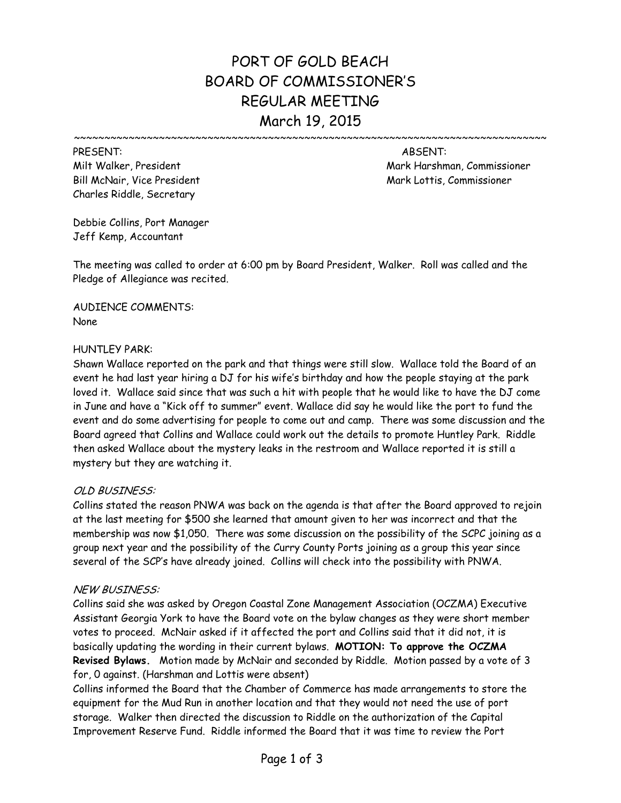# PORT OF GOLD BEACH BOARD OF COMMISSIONER'S REGULAR MEETING March 19, 2015

~~~~~~~~~~~~~~~~~~~~~~~~~~~~~~~~~~~~~~~~~~~~~~~~~~~~~~~~~~~~~~~~~~~~~~~~~~~~~~

Bill McNair, Vice President Mark Lottis, Commissioner Mark Lottis, Commissioner Charles Riddle, Secretary

PRESENT: ABSENT: Milt Walker, President Mark Harshman, Commissioner

Debbie Collins, Port Manager Jeff Kemp, Accountant

The meeting was called to order at 6:00 pm by Board President, Walker. Roll was called and the Pledge of Allegiance was recited.

AUDIENCE COMMENTS: None

### HUNTLEY PARK:

Shawn Wallace reported on the park and that things were still slow. Wallace told the Board of an event he had last year hiring a DJ for his wife's birthday and how the people staying at the park loved it. Wallace said since that was such a hit with people that he would like to have the DJ come in June and have a "Kick off to summer" event. Wallace did say he would like the port to fund the event and do some advertising for people to come out and camp. There was some discussion and the Board agreed that Collins and Wallace could work out the details to promote Huntley Park. Riddle then asked Wallace about the mystery leaks in the restroom and Wallace reported it is still a mystery but they are watching it.

# OLD BUSINESS:

Collins stated the reason PNWA was back on the agenda is that after the Board approved to rejoin at the last meeting for \$500 she learned that amount given to her was incorrect and that the membership was now \$1,050. There was some discussion on the possibility of the SCPC joining as a group next year and the possibility of the Curry County Ports joining as a group this year since several of the SCP's have already joined. Collins will check into the possibility with PNWA.

# NEW BUSINESS:

Collins said she was asked by Oregon Coastal Zone Management Association (OCZMA) Executive Assistant Georgia York to have the Board vote on the bylaw changes as they were short member votes to proceed. McNair asked if it affected the port and Collins said that it did not, it is basically updating the wording in their current bylaws. **MOTION: To approve the OCZMA Revised Bylaws.** Motion made by McNair and seconded by Riddle. Motion passed by a vote of 3 for, 0 against. (Harshman and Lottis were absent)

Collins informed the Board that the Chamber of Commerce has made arrangements to store the equipment for the Mud Run in another location and that they would not need the use of port storage. Walker then directed the discussion to Riddle on the authorization of the Capital Improvement Reserve Fund. Riddle informed the Board that it was time to review the Port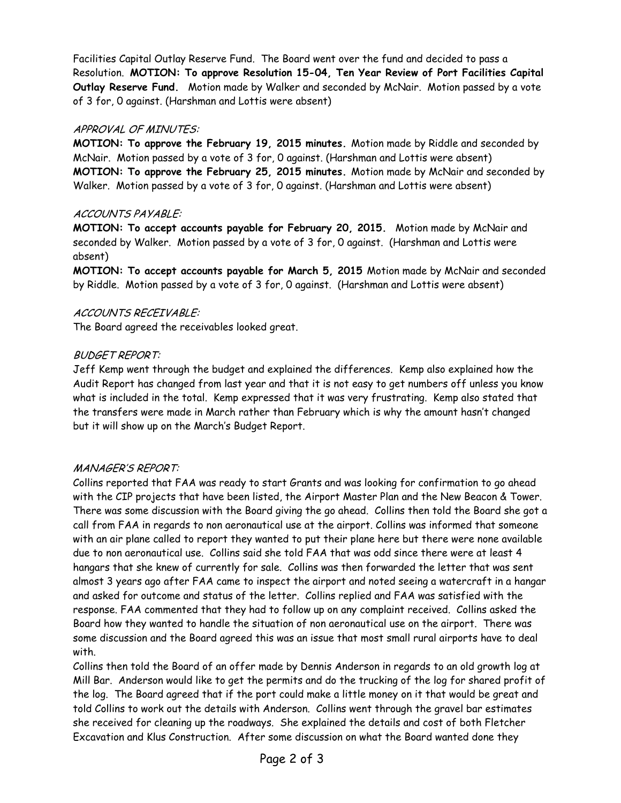Facilities Capital Outlay Reserve Fund. The Board went over the fund and decided to pass a Resolution. **MOTION: To approve Resolution 15-04, Ten Year Review of Port Facilities Capital Outlay Reserve Fund.** Motion made by Walker and seconded by McNair. Motion passed by a vote of 3 for, 0 against. (Harshman and Lottis were absent)

# APPROVAL OF MINUTES:

**MOTION: To approve the February 19, 2015 minutes.** Motion made by Riddle and seconded by McNair. Motion passed by a vote of 3 for, 0 against. (Harshman and Lottis were absent) **MOTION: To approve the February 25, 2015 minutes.** Motion made by McNair and seconded by Walker. Motion passed by a vote of 3 for, 0 against. (Harshman and Lottis were absent)

# ACCOUNTS PAYABLE:

**MOTION: To accept accounts payable for February 20, 2015.** Motion made by McNair and seconded by Walker. Motion passed by a vote of 3 for, 0 against. (Harshman and Lottis were absent)

**MOTION: To accept accounts payable for March 5, 2015** Motion made by McNair and seconded by Riddle. Motion passed by a vote of 3 for, 0 against. (Harshman and Lottis were absent)

### ACCOUNTS RECEIVABLE:

The Board agreed the receivables looked great.

# BUDGET REPORT:

Jeff Kemp went through the budget and explained the differences. Kemp also explained how the Audit Report has changed from last year and that it is not easy to get numbers off unless you know what is included in the total. Kemp expressed that it was very frustrating. Kemp also stated that the transfers were made in March rather than February which is why the amount hasn't changed but it will show up on the March's Budget Report.

# MANAGER'S REPORT:

Collins reported that FAA was ready to start Grants and was looking for confirmation to go ahead with the CIP projects that have been listed, the Airport Master Plan and the New Beacon & Tower. There was some discussion with the Board giving the go ahead. Collins then told the Board she got a call from FAA in regards to non aeronautical use at the airport. Collins was informed that someone with an air plane called to report they wanted to put their plane here but there were none available due to non aeronautical use. Collins said she told FAA that was odd since there were at least 4 hangars that she knew of currently for sale. Collins was then forwarded the letter that was sent almost 3 years ago after FAA came to inspect the airport and noted seeing a watercraft in a hangar and asked for outcome and status of the letter. Collins replied and FAA was satisfied with the response. FAA commented that they had to follow up on any complaint received. Collins asked the Board how they wanted to handle the situation of non aeronautical use on the airport. There was some discussion and the Board agreed this was an issue that most small rural airports have to deal with.

Collins then told the Board of an offer made by Dennis Anderson in regards to an old growth log at Mill Bar. Anderson would like to get the permits and do the trucking of the log for shared profit of the log. The Board agreed that if the port could make a little money on it that would be great and told Collins to work out the details with Anderson. Collins went through the gravel bar estimates she received for cleaning up the roadways. She explained the details and cost of both Fletcher Excavation and Klus Construction. After some discussion on what the Board wanted done they